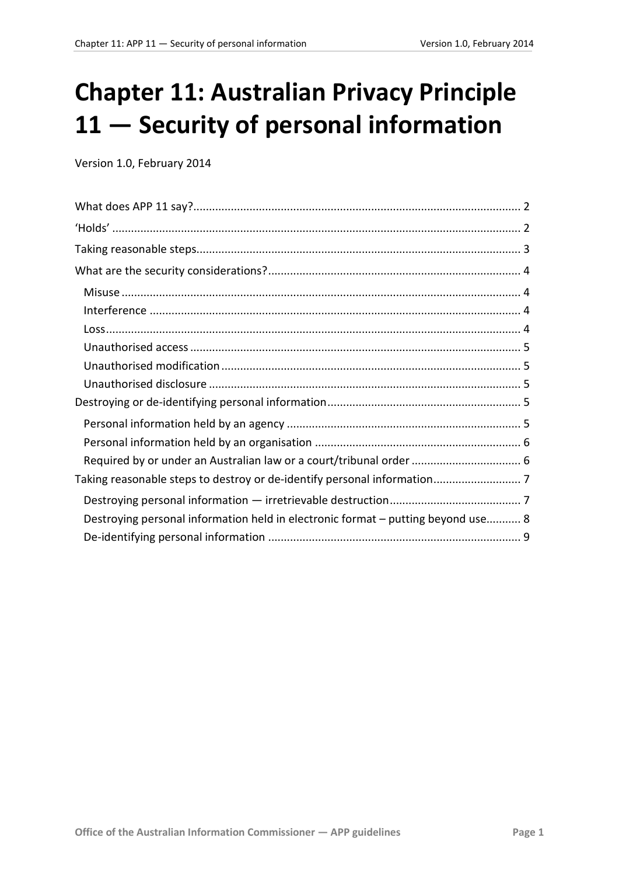# **Chapter 11: Australian Privacy Principle 11 — Security of personal information**

Version 1.0, February 2014

<span id="page-0-0"></span>

| Taking reasonable steps to destroy or de-identify personal information 7         |  |
|----------------------------------------------------------------------------------|--|
|                                                                                  |  |
| Destroying personal information held in electronic format - putting beyond use 8 |  |
|                                                                                  |  |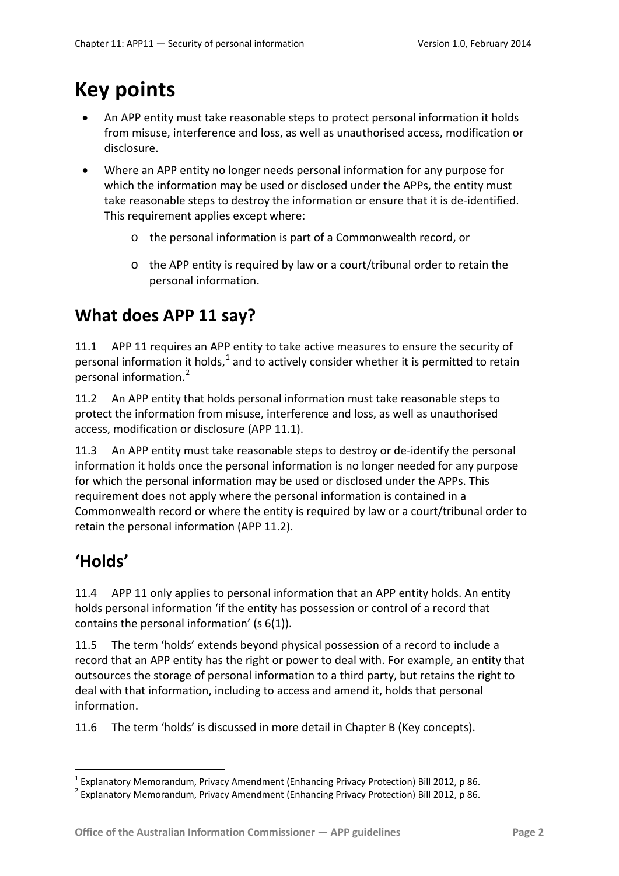## **Key points**

- An APP entity must take reasonable steps to protect personal information it holds from misuse, interference and loss, as well as unauthorised access, modification or disclosure.
- Where an APP entity no longer needs personal information for any purpose for which the information may be used or disclosed under the APPs, the entity must take reasonable steps to destroy the information or ensure that it is de-identified. This requirement applies except where:
	- o the personal information is part of a Commonwealth record, or
	- o the APP entity is required by law or a court/tribunal order to retain the personal information.

## <span id="page-1-0"></span>**What does APP 11 say?**

11.1 APP 11 requires an APP entity to take active measures to ensure the security of personal information it holds, $<sup>1</sup>$  $<sup>1</sup>$  $<sup>1</sup>$  and to actively consider whether it is permitted to retain</sup> personal information.<sup>[2](#page-1-2)</sup>

11.2 An APP entity that holds personal information must take reasonable steps to protect the information from misuse, interference and loss, as well as unauthorised access, modification or disclosure (APP 11.1).

11.3 An APP entity must take reasonable steps to destroy or de-identify the personal information it holds once the personal information is no longer needed for any purpose for which the personal information may be used or disclosed under the APPs. This requirement does not apply where the personal information is contained in a Commonwealth record or where the entity is required by law or a court/tribunal order to retain the personal information (APP 11.2).

## <span id="page-1-1"></span>**'Holds'**

1

<span id="page-1-3"></span>11.4 APP 11 only applies to personal information that an APP entity holds. An entity holds personal information 'if the entity has possession or control of a record that contains the personal information' (s 6(1)).

11.5 The term 'holds' extends beyond physical possession of a record to include a record that an APP entity has the right or power to deal with. For example, an entity that outsources the storage of personal information to a third party, but retains the right to deal with that information, including to access and amend it, holds that personal information.

<span id="page-1-4"></span>11.6 The term 'holds' is discussed in more detail in Chapter B (Key concepts).

<sup>&</sup>lt;sup>1</sup> Explanatory Memorandum, Privacy Amendment (Enhancing Privacy Protection) Bill 2012, p 86. <sup>2</sup> Explanatory Memorandum, Privacy Amendment (Enhancing Privacy Protection) Bill 2012, p 86.

<span id="page-1-2"></span>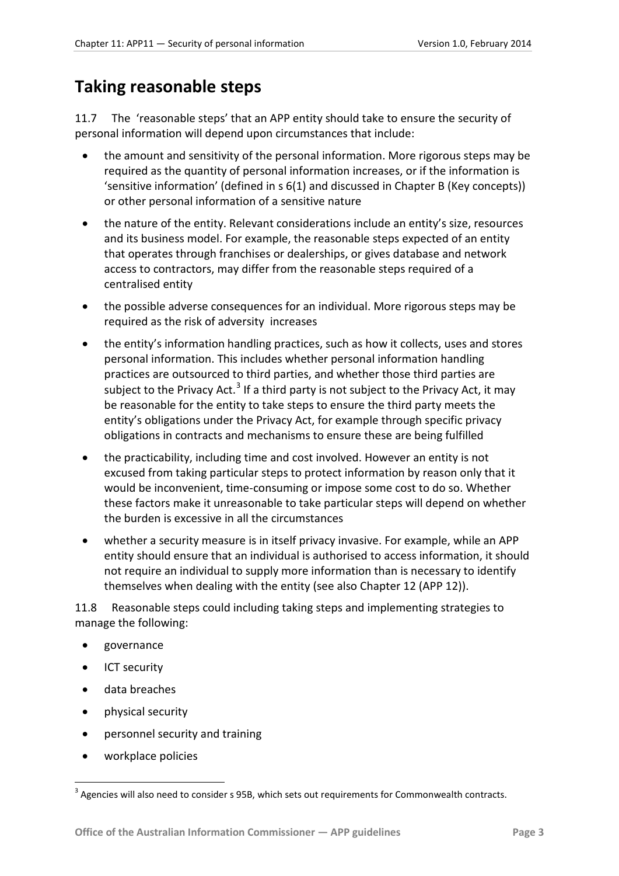## <span id="page-2-0"></span>**Taking reasonable steps**

11.7 The 'reasonable steps' that an APP entity should take to ensure the security of personal information will depend upon circumstances that include:

- the amount and sensitivity of the personal information. More rigorous steps may be required as the quantity of personal information increases, or if the information is 'sensitive information' (defined in s 6(1) and discussed in Chapter B (Key concepts)) or other personal information of a sensitive nature
- the nature of the entity. Relevant considerations include an entity's size, resources and its business model. For example, the reasonable steps expected of an entity that operates through franchises or dealerships, or gives database and network access to contractors, may differ from the reasonable steps required of a centralised entity
- the possible adverse consequences for an individual. More rigorous steps may be required as the risk of adversity increases
- the entity's information handling practices, such as how it collects, uses and stores personal information. This includes whether personal information handling practices are outsourced to third parties, and whether those third parties are subject to the Privacy Act.<sup>[3](#page-1-2)</sup> If a third party is not subject to the Privacy Act, it may be reasonable for the entity to take steps to ensure the third party meets the entity's obligations under the Privacy Act, for example through specific privacy obligations in contracts and mechanisms to ensure these are being fulfilled
- the practicability, including time and cost involved. However an entity is not excused from taking particular steps to protect information by reason only that it would be inconvenient, time-consuming or impose some cost to do so. Whether these factors make it unreasonable to take particular steps will depend on whether the burden is excessive in all the circumstances
- whether a security measure is in itself privacy invasive. For example, while an APP entity should ensure that an individual is authorised to access information, it should not require an individual to supply more information than is necessary to identify themselves when dealing with the entity (see also Chapter 12 (APP 12)).

11.8 Reasonable steps could including taking steps and implementing strategies to manage the following:

- governance
- ICT security

<u>.</u>

- data breaches
- physical security
- personnel security and training
- workplace policies

<span id="page-2-1"></span> $3$  Agencies will also need to consider s 95B, which sets out requirements for Commonwealth contracts.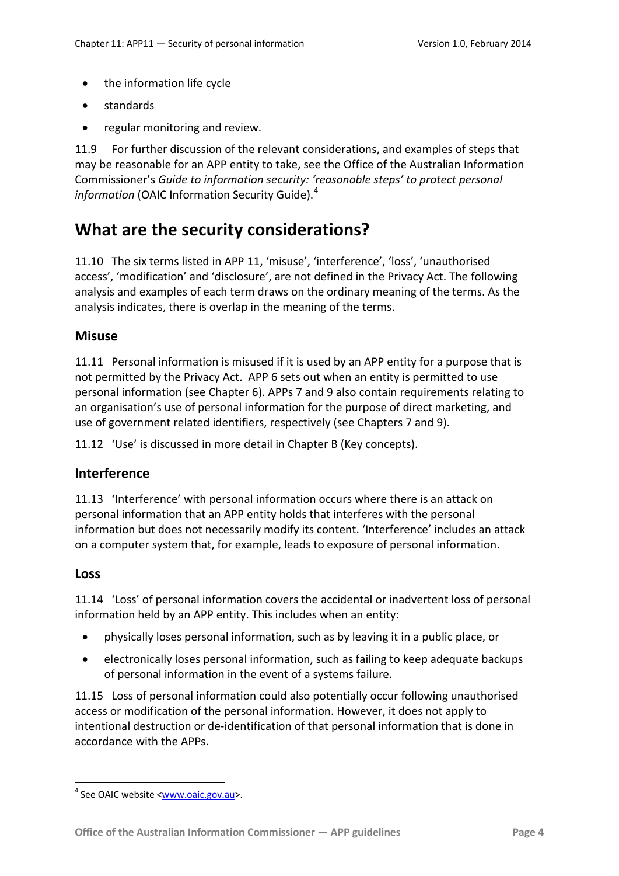- the information life cycle
- standards
- regular monitoring and review.

11.9 For further discussion of the relevant considerations, and examples of steps that may be reasonable for an APP entity to take, see the Office of the Australian Information Commissioner's *Guide to information security: 'reasonable steps' to protect personal information* (OAIC Information Security Guide).<sup>[4](#page-2-1)</sup>

## <span id="page-3-0"></span>**What are the security considerations?**

11.10 The six terms listed in APP 11, 'misuse', 'interference', 'loss', 'unauthorised access', 'modification' and 'disclosure', are not defined in the Privacy Act. The following analysis and examples of each term draws on the ordinary meaning of the terms. As the analysis indicates, there is overlap in the meaning of the terms.

#### <span id="page-3-1"></span>**Misuse**

11.11 Personal information is misused if it is used by an APP entity for a purpose that is not permitted by the Privacy Act. APP 6 sets out when an entity is permitted to use personal information (see Chapter 6). APPs 7 and 9 also contain requirements relating to an organisation's use of personal information for the purpose of direct marketing, and use of government related identifiers, respectively (see Chapters 7 and 9).

11.12 'Use' is discussed in more detail in Chapter B (Key concepts).

#### <span id="page-3-2"></span>**Interference**

11.13 'Interference' with personal information occurs where there is an attack on personal information that an APP entity holds that interferes with the personal information but does not necessarily modify its content. 'Interference' includes an attack on a computer system that, for example, leads to exposure of personal information.

#### <span id="page-3-3"></span>**Loss**

11.14 'Loss' of personal information covers the accidental or inadvertent loss of personal information held by an APP entity. This includes when an entity:

- physically loses personal information, such as by leaving it in a public place, or
- electronically loses personal information, such as failing to keep adequate backups of personal information in the event of a systems failure.

11.15 Loss of personal information could also potentially occur following unauthorised access or modification of the personal information. However, it does not apply to intentional destruction or de-identification of that personal information that is done in accordance with the APPs.

<span id="page-3-4"></span><sup>&</sup>lt;u>.</u> <sup>4</sup> See OAIC website [<www.oaic.gov.au>](http://www.oaic.gov.au/).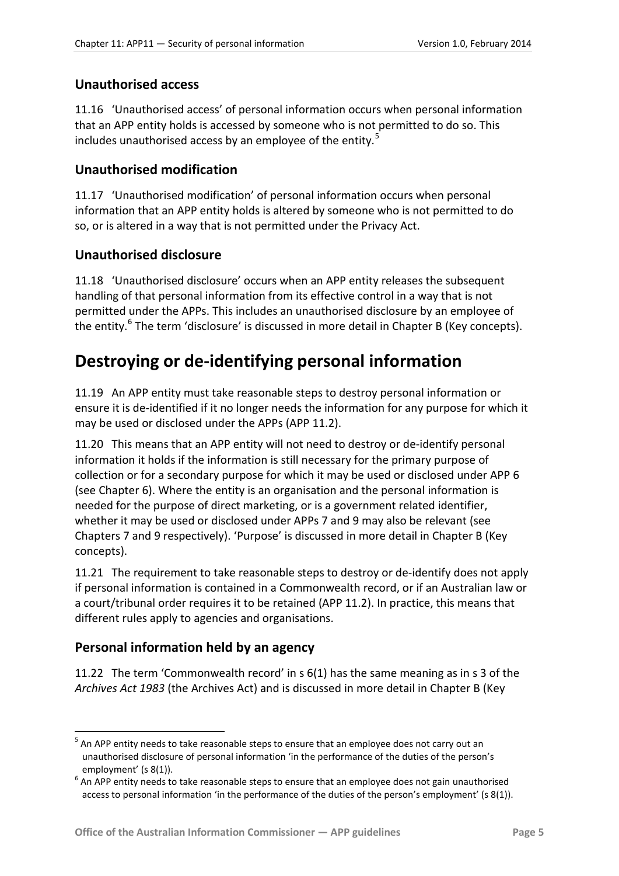#### <span id="page-4-0"></span>**Unauthorised access**

11.16 'Unauthorised access' of personal information occurs when personal information that an APP entity holds is accessed by someone who is not permitted to do so. This includes unauthorised access by an employee of the entity.<sup>[5](#page-3-4)</sup>

#### <span id="page-4-1"></span>**Unauthorised modification**

11.17 'Unauthorised modification' of personal information occurs when personal information that an APP entity holds is altered by someone who is not permitted to do so, or is altered in a way that is not permitted under the Privacy Act.

#### <span id="page-4-2"></span>**Unauthorised disclosure**

11.18 'Unauthorised disclosure' occurs when an APP entity releases the subsequent handling of that personal information from its effective control in a way that is not permitted under the APPs. This includes an unauthorised disclosure by an employee of the entity. $6$  The term 'disclosure' is discussed in more detail in Chapter B (Key concepts).

## <span id="page-4-3"></span>**Destroying or de-identifying personal information**

11.19 An APP entity must take reasonable steps to destroy personal information or ensure it is de-identified if it no longer needs the information for any purpose for which it may be used or disclosed under the APPs (APP 11.2).

11.20 This means that an APP entity will not need to destroy or de-identify personal information it holds if the information is still necessary for the primary purpose of collection or for a secondary purpose for which it may be used or disclosed under APP 6 (see Chapter 6). Where the entity is an organisation and the personal information is needed for the purpose of direct marketing, or is a government related identifier, whether it may be used or disclosed under APPs 7 and 9 may also be relevant (see Chapters 7 and 9 respectively). 'Purpose' is discussed in more detail in Chapter B (Key concepts).

11.21 The requirement to take reasonable steps to destroy or de-identify does not apply if personal information is contained in a Commonwealth record, or if an Australian law or a court/tribunal order requires it to be retained (APP 11.2). In practice, this means that different rules apply to agencies and organisations.

#### <span id="page-4-4"></span>**Personal information held by an agency**

<u>.</u>

11.22 The term 'Commonwealth record' in s 6(1) has the same meaning as in s 3 of the *Archives Act 1983* (the Archives Act) and is discussed in more detail in Chapter B (Key

<span id="page-4-6"></span> $5$  An APP entity needs to take reasonable steps to ensure that an employee does not carry out an unauthorised disclosure of personal information 'in the performance of the duties of the person's

<span id="page-4-5"></span>employment' (s 8(1)).<br> $6$  An APP entity needs to take reasonable steps to ensure that an employee does not gain unauthorised access to personal information 'in the performance of the duties of the person's employment' (s 8(1)).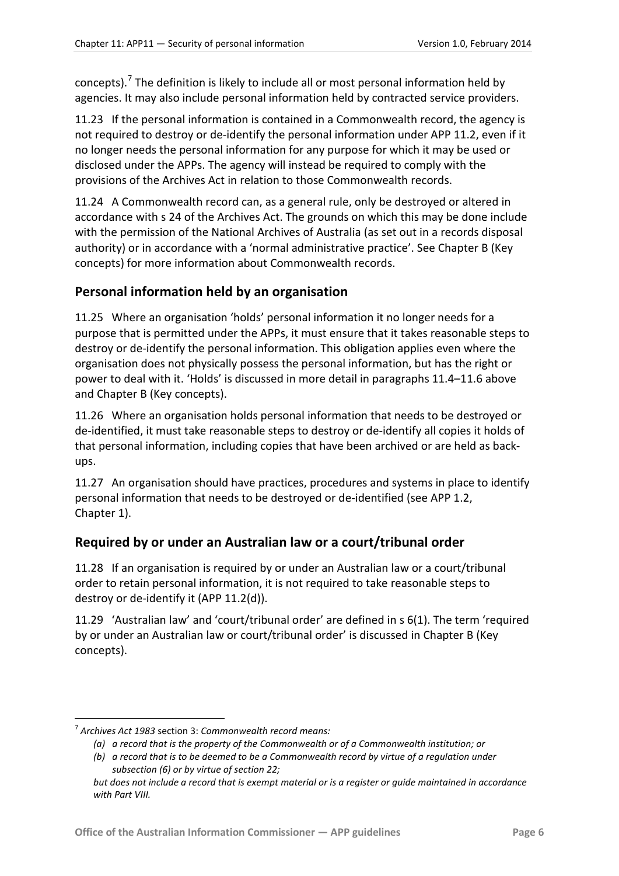concepts).<sup>[7](#page-4-6)</sup> The definition is likely to include all or most personal information held by agencies. It may also include personal information held by contracted service providers.

11.23 If the personal information is contained in a Commonwealth record, the agency is not required to destroy or de-identify the personal information under APP 11.2, even if it no longer needs the personal information for any purpose for which it may be used or disclosed under the APPs. The agency will instead be required to comply with the provisions of the Archives Act in relation to those Commonwealth records.

11.24 A Commonwealth record can, as a general rule, only be destroyed or altered in accordance with s 24 of the Archives Act. The grounds on which this may be done include with the permission of the National Archives of Australia (as set out in a records disposal authority) or in accordance with a 'normal administrative practice'. See Chapter B (Key concepts) for more information about Commonwealth records.

#### <span id="page-5-0"></span>**Personal information held by an organisation**

11.25 Where an organisation 'holds' personal information it no longer needs for a purpose that is permitted under the APPs, it must ensure that it takes reasonable steps to destroy or de-identify the personal information. This obligation applies even where the organisation does not physically possess the personal information, but has the right or power to deal with it. 'Holds' is discussed in more detail in paragraph[s 11.4–](#page-1-3)[11.6](#page-1-4) above and Chapter B (Key concepts).

11.26 Where an organisation holds personal information that needs to be destroyed or de-identified, it must take reasonable steps to destroy or de-identify all copies it holds of that personal information, including copies that have been archived or are held as backups.

11.27 An organisation should have practices, procedures and systems in place to identify personal information that needs to be destroyed or de-identified (see APP 1.2, Chapter 1).

#### <span id="page-5-1"></span>**Required by or under an Australian law or a court/tribunal order**

11.28 If an organisation is required by or under an Australian law or a court/tribunal order to retain personal information, it is not required to take reasonable steps to destroy or de-identify it (APP 11.2(d)).

11.29 'Australian law' and 'court/tribunal order' are defined in s 6(1). The term 'required by or under an Australian law or court/tribunal order' is discussed in Chapter B (Key concepts).

<u>.</u>

<span id="page-5-2"></span><sup>7</sup> *Archives Act 1983* section 3: *Commonwealth record means:*

*<sup>(</sup>a) a record that is the property of the Commonwealth or of a Commonwealth institution; or*

*<sup>(</sup>b) a record that is to be deemed to be a Commonwealth record by virtue of a regulation under subsection (6) or by virtue of section 22;*

*but does not include a record that is exempt material or is a register or guide maintained in accordance with Part VIII.*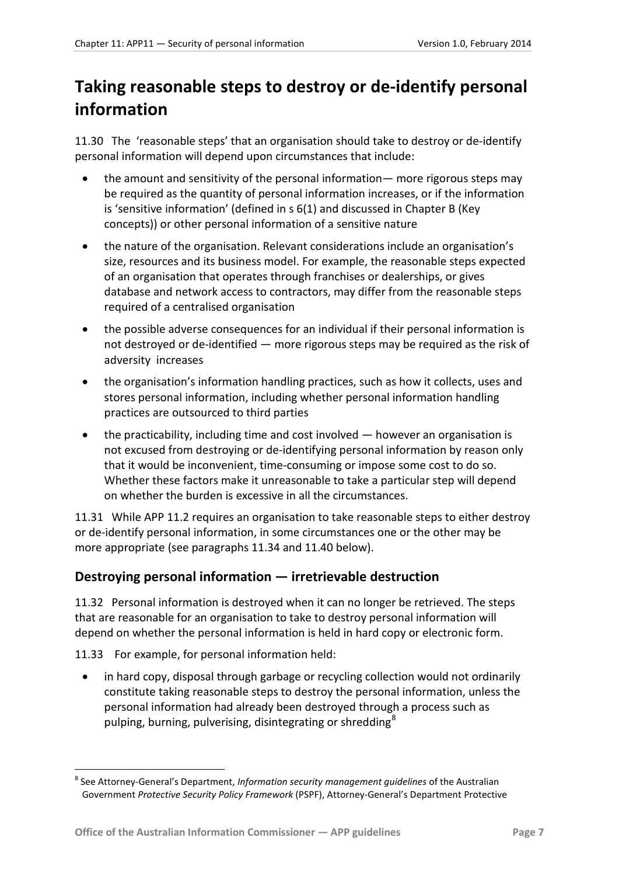## <span id="page-6-0"></span>**Taking reasonable steps to destroy or de-identify personal information**

11.30 The 'reasonable steps' that an organisation should take to destroy or de-identify personal information will depend upon circumstances that include:

- the amount and sensitivity of the personal information— more rigorous steps may be required as the quantity of personal information increases, or if the information is 'sensitive information' (defined in s 6(1) and discussed in Chapter B (Key concepts)) or other personal information of a sensitive nature
- the nature of the organisation. Relevant considerations include an organisation's size, resources and its business model. For example, the reasonable steps expected of an organisation that operates through franchises or dealerships, or gives database and network access to contractors, may differ from the reasonable steps required of a centralised organisation
- the possible adverse consequences for an individual if their personal information is not destroyed or de-identified — more rigorous steps may be required as the risk of adversity increases
- the organisation's information handling practices, such as how it collects, uses and stores personal information, including whether personal information handling practices are outsourced to third parties
- the practicability, including time and cost involved however an organisation is not excused from destroying or de-identifying personal information by reason only that it would be inconvenient, time-consuming or impose some cost to do so. Whether these factors make it unreasonable to take a particular step will depend on whether the burden is excessive in all the circumstances.

11.31 While APP 11.2 requires an organisation to take reasonable steps to either destroy or de-identify personal information, in some circumstances one or the other may be more appropriate (see paragraphs [11.34](#page-7-1) and [11.40](#page-8-1) below).

#### <span id="page-6-1"></span>**Destroying personal information — irretrievable destruction**

<span id="page-6-3"></span>11.32 Personal information is destroyed when it can no longer be retrieved. The steps that are reasonable for an organisation to take to destroy personal information will depend on whether the personal information is held in hard copy or electronic form.

11.33 For example, for personal information held:

<span id="page-6-2"></span>1

• in hard copy, disposal through garbage or recycling collection would not ordinarily constitute taking reasonable steps to destroy the personal information, unless the personal information had already been destroyed through a process such as pulping, burning, pulverising, disintegrating or shredding ${}^{8}$  ${}^{8}$  ${}^{8}$ 

<sup>8</sup> See Attorney-General's Department, *Information security management guidelines* of the Australian Government *Protective Security Policy Framework* (PSPF), Attorney-General's Department Protective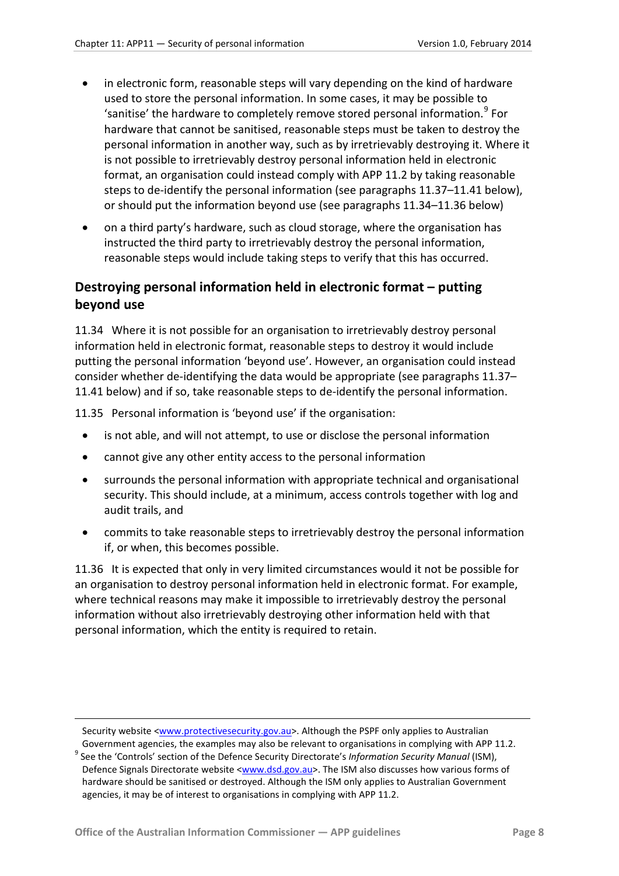- in electronic form, reasonable steps will vary depending on the kind of hardware used to store the personal information. In some cases, it may be possible to 'sanitise' the hardware to completely remove stored personal information.<sup>[9](#page-6-2)</sup> For hardware that cannot be sanitised, reasonable steps must be taken to destroy the personal information in another way, such as by irretrievably destroying it. Where it is not possible to irretrievably destroy personal information held in electronic format, an organisation could instead comply with APP 11.2 by taking reasonable steps to de-identify the personal information (see paragraphs [11.37–](#page-8-2)[11.41](#page-8-3) below), or should put the information beyond use (see paragraphs [11.34–](#page-7-1)[11.36](#page-7-2) below)
- on a third party's hardware, such as cloud storage, where the organisation has instructed the third party to irretrievably destroy the personal information, reasonable steps would include taking steps to verify that this has occurred.

#### <span id="page-7-0"></span>**Destroying personal information held in electronic format – putting beyond use**

<span id="page-7-1"></span>11.34 Where it is not possible for an organisation to irretrievably destroy personal information held in electronic format, reasonable steps to destroy it would include putting the personal information 'beyond use'. However, an organisation could instead consider whether de-identifying the data would be appropriate (see paragraph[s 11.37–](#page-8-2) [11.41](#page-8-3) below) and if so, take reasonable steps to de-identify the personal information.

11.35 Personal information is 'beyond use' if the organisation:

- is not able, and will not attempt, to use or disclose the personal information
- cannot give any other entity access to the personal information
- surrounds the personal information with appropriate technical and organisational security. This should include, at a minimum, access controls together with log and audit trails, and
- commits to take reasonable steps to irretrievably destroy the personal information if, or when, this becomes possible.

<span id="page-7-2"></span>11.36 It is expected that only in very limited circumstances would it not be possible for an organisation to destroy personal information held in electronic format. For example, where technical reasons may make it impossible to irretrievably destroy the personal information without also irretrievably destroying other information held with that personal information, which the entity is required to retain.

<u>.</u>

Security website [<www.protectivesecurity.gov.au>](http://www.protectivesecurity.gov.au/). Although the PSPF only applies to Australian

<span id="page-7-3"></span>Government agencies, the examples may also be relevant to organisations in complying with APP 11.2.<br><sup>9</sup> See the 'Controls' section of the Defence Security Directorate's *Information Security Manual* (ISM), Defence Signals Directorate website [<www.dsd.gov.au>](http://www.dsd.gov.au/). The ISM also discusses how various forms of hardware should be sanitised or destroyed. Although the ISM only applies to Australian Government agencies, it may be of interest to organisations in complying with APP 11.2.